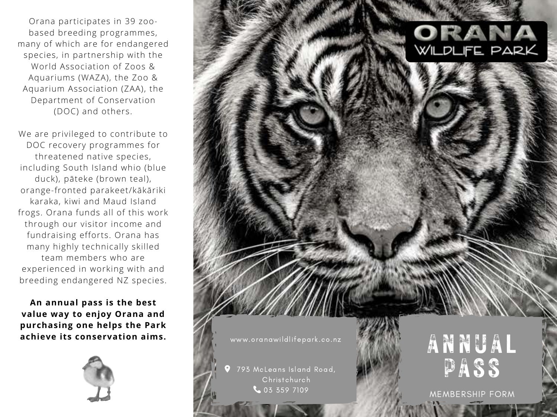Orana participates in 39 zoobased breeding programmes, many of which are for endangered species, in partnership with the World Association of Zoos & Aquariums (WAZA), the Zoo & Aquarium Association (ZAA), the Department of Conservation (DOC) and others.

We are privileged to contribute to DOC recovery programmes for [threatened native species,](https://www.oranawildlifepark.co.nz/conservation/breed-for-release/) including South Island whio (blue duck), pāteke (brown teal), orange-fronted parakeet/kākāriki karaka, kiwi and Maud Island frogs. Orana funds all of this work through our visitor income and fundraising efforts. Orana has many highly technically skilled team members who are experienced in working with and breeding endangered NZ species.

**An annual pass is the best value way to enjoy Orana and purchasing one helps the Park achieve its conservation aims.**